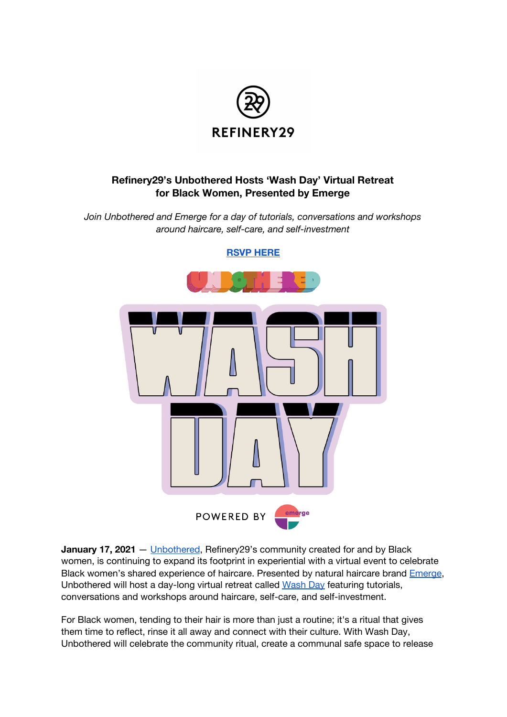

## **Refinery29's Unbothered Hosts 'Wash Day' Virtual Retreat for Black Women, Presented by Emerge**

*Join Unbothered and Emerge for a day of tutorials, conversations and workshops around haircare, self-care, and self-investment*



**January 17, 2021** — [Unbothered](https://www.instagram.com/r29unbothered/?hl=en), Refinery29's community created for and by Black women, is continuing to expand its footprint in experiential with a virtual event to celebrate Black women's shared experience of haircare. Presented by natural haircare brand [Emerge](https://www.emergebeautiful.com/us/en/home.html), Unbothered will host a day-long virtual retreat called [Wash](https://washday.splashthat.com/) Day featuring tutorials, conversations and workshops around haircare, self-care, and self-investment.

For Black women, tending to their hair is more than just a routine; it's a ritual that gives them time to reflect, rinse it all away and connect with their culture. With Wash Day, Unbothered will celebrate the community ritual, create a communal safe space to release

**RSVP [HERE](https://washday.splashthat.com/)**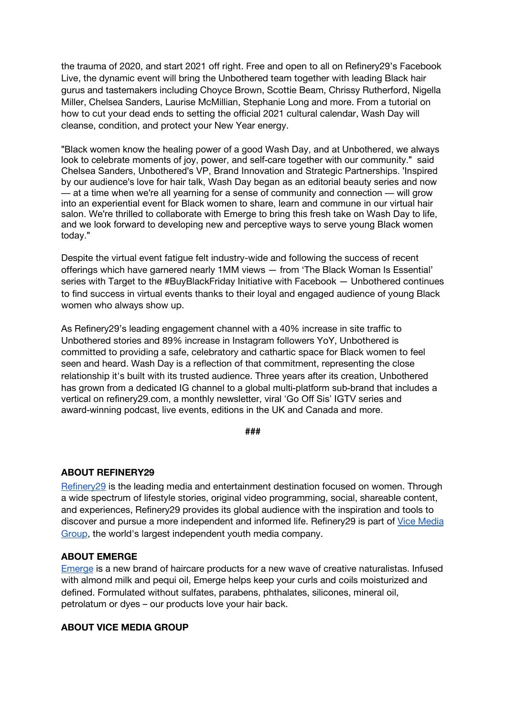the trauma of 2020, and start 2021 off right. Free and open to all on Refinery29's Facebook Live, the dynamic event will bring the Unbothered team together with leading Black hair gurus and tastemakers including Choyce Brown, Scottie Beam, Chrissy Rutherford, Nigella Miller, Chelsea Sanders, Laurise McMillian, Stephanie Long and more. From a tutorial on how to cut your dead ends to setting the official 2021 cultural calendar, Wash Day will cleanse, condition, and protect your New Year energy.

"Black women know the healing power of a good Wash Day, and at Unbothered, we always look to celebrate moments of joy, power, and self-care together with our community." said Chelsea Sanders, Unbothered's VP, Brand Innovation and Strategic Partnerships. 'Inspired by our audience's love for hair talk, Wash Day began as an editorial beauty series and now — at a time when we're all yearning for a sense of community and connection — will grow into an experiential event for Black women to share, learn and commune in our virtual hair salon. We're thrilled to collaborate with Emerge to bring this fresh take on Wash Day to life, and we look forward to developing new and perceptive ways to serve young Black women today."

Despite the virtual event fatigue felt industry-wide and following the success of recent offerings which have garnered nearly 1MM views — from 'The Black Woman Is Essential' series with Target to the #BuyBlackFriday Initiative with Facebook — Unbothered continues to find success in virtual events thanks to their loyal and engaged audience of young Black women who always show up.

As Refinery29's leading engagement channel with a 40% increase in site traffic to Unbothered stories and 89% increase in Instagram followers YoY, Unbothered is committed to providing a safe, celebratory and cathartic space for Black women to feel seen and heard. Wash Day is a reflection of that commitment, representing the close relationship it's built with its trusted audience. Three years after its creation, Unbothered has grown from a dedicated IG channel to a global multi-platform sub-brand that includes a vertical on refinery29.com, a monthly newsletter, viral 'Go Off Sis' IGTV series and award-winning podcast, live events, editions in the UK and Canada and more.

**###**

## **ABOUT REFINERY29**

[Refinery29](https://www.refinery29.com/en-us) is the leading media and entertainment destination focused on women. Through a wide spectrum of lifestyle stories, original video programming, social, shareable content, and experiences, Refinery29 provides its global audience with the inspiration and tools to discover and pursue a more independent and informed life. Refinery29 is part of [V](https://company.vice.com/about/)ice [Media](https://company.vice.com/about/) [Group](https://company.vice.com/about/), the world's largest independent youth media company.

## **ABOUT EMERGE**

[Emerge](https://www.emergebeautiful.com/us/en/home.html) is a new brand of haircare products for a new wave of creative naturalistas. Infused with almond milk and pequi oil, Emerge helps keep your curls and coils moisturized and defined. Formulated without sulfates, parabens, phthalates, silicones, mineral oil, petrolatum or dyes – our products love your hair back.

## **ABOUT VICE MEDIA GROUP**